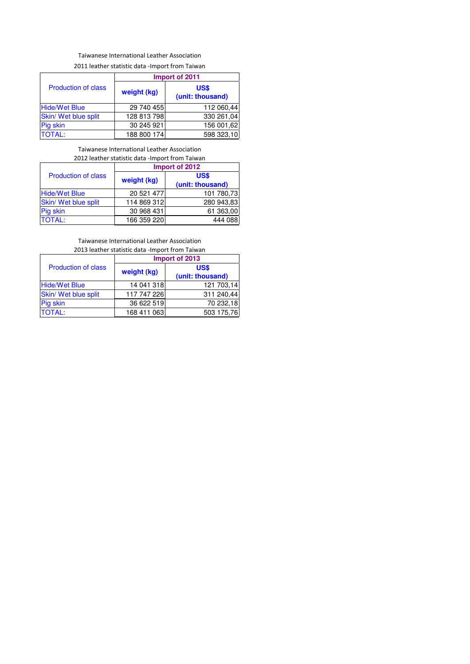# Taiwanese International Leather Association

2011 leather statistic data -Import from Taiwan

|                            |             | Import of 2011                  |
|----------------------------|-------------|---------------------------------|
| <b>Production of class</b> | weight (kg) | <b>US\$</b><br>(unit: thousand) |
| <b>Hide/Wet Blue</b>       | 29 740 455  | 112 060,44                      |
| Skin/ Wet blue split       | 128 813 798 | 330 261,04                      |
| Pig skin                   | 30 245 921  | 156 001,62                      |
| <b>TOTAL:</b>              | 188 800 174 | 598 323,10                      |

## Taiwanese International Leather Association 2012 leather statistic data -Import from Taiwan

|                            | Import of 2012 |                                 |  |  |  |  |  |  |
|----------------------------|----------------|---------------------------------|--|--|--|--|--|--|
| <b>Production of class</b> | weight (kg)    | <b>US\$</b><br>(unit: thousand) |  |  |  |  |  |  |
| <b>Hide/Wet Blue</b>       | 20 521 477     | 101 780,73                      |  |  |  |  |  |  |
| Skin/ Wet blue split       | 114 869 312    | 280 943,83                      |  |  |  |  |  |  |
| Pig skin                   | 30 968 431     | 61 363,00                       |  |  |  |  |  |  |
| <b>TOTAL:</b>              | 166 359 220    | 444 088                         |  |  |  |  |  |  |

## Taiwanese International Leather Association 2013 leather statistic data -Import from Taiwan

|                            | Import of 2013 |                          |  |  |  |  |  |  |  |  |
|----------------------------|----------------|--------------------------|--|--|--|--|--|--|--|--|
| <b>Production of class</b> | weight (kg)    | US\$<br>(unit: thousand) |  |  |  |  |  |  |  |  |
| <b>Hide/Wet Blue</b>       | 14 041 318     | 121 703,14               |  |  |  |  |  |  |  |  |
| Skin/ Wet blue split       | 117 747 226    | 311 240,44               |  |  |  |  |  |  |  |  |
| Pig skin                   | 36 622 519     | 70 232,18                |  |  |  |  |  |  |  |  |
| <b>TOTAL:</b>              | 168 411 063    | 503 175,76               |  |  |  |  |  |  |  |  |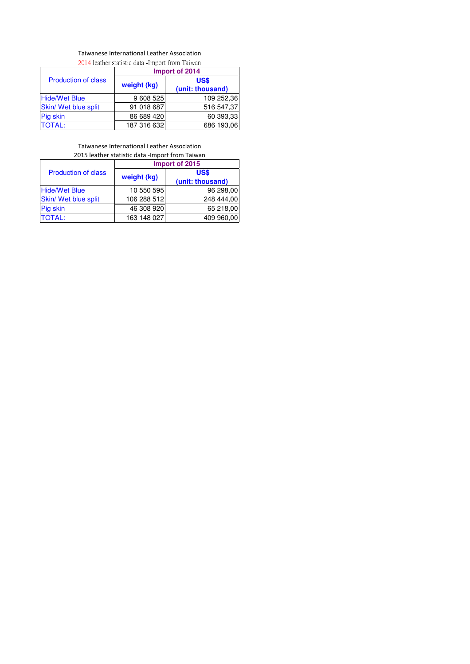#### Taiwanese International Leather Association 2014 leather statistic data -Import from Taiwan

| 2014 Icalifer Statistic Gata -Import Home Farwall |                |                  |  |  |  |  |  |  |  |
|---------------------------------------------------|----------------|------------------|--|--|--|--|--|--|--|
|                                                   | Import of 2014 |                  |  |  |  |  |  |  |  |
| <b>Production of class</b>                        |                | US\$             |  |  |  |  |  |  |  |
|                                                   | weight (kg)    | (unit: thousand) |  |  |  |  |  |  |  |
| <b>Hide/Wet Blue</b>                              | 9 608 525      | 109 252,36       |  |  |  |  |  |  |  |
| Skin/ Wet blue split                              | 91 018 687     | 516 547,37       |  |  |  |  |  |  |  |
| Pig skin                                          | 86 689 420     | 60 393,33        |  |  |  |  |  |  |  |
| <b>TOTAL:</b>                                     | 187 316 632    | 686 193,06       |  |  |  |  |  |  |  |

Taiwanese International Leather Association 2015 leather statistic data -Import from Taiwan

|                            | Import of 2015 |                          |  |  |  |  |  |  |
|----------------------------|----------------|--------------------------|--|--|--|--|--|--|
| <b>Production of class</b> | weight (kg)    | US\$<br>(unit: thousand) |  |  |  |  |  |  |
| <b>Hide/Wet Blue</b>       | 10 550 595     | 96 298,00                |  |  |  |  |  |  |
| Skin/ Wet blue split       | 106 288 512    | 248 444,00               |  |  |  |  |  |  |
| Pig skin                   | 46 308 920     | 65 218,00                |  |  |  |  |  |  |
| <b>TOTAL:</b>              | 163 148 027    | 409 960,00               |  |  |  |  |  |  |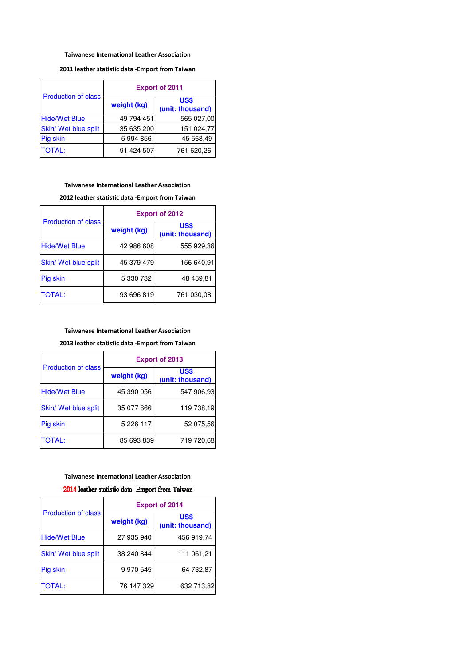#### Taiwanese International Leather Association

## 2011 leather statistic data -Emport from Taiwan

|                            | <b>Export of 2011</b> |                          |  |  |  |  |  |  |
|----------------------------|-----------------------|--------------------------|--|--|--|--|--|--|
| <b>Production of class</b> | weight (kg)           | US\$<br>(unit: thousand) |  |  |  |  |  |  |
| <b>Hide/Wet Blue</b>       | 49 794 451            | 565 027,00               |  |  |  |  |  |  |
| Skin/ Wet blue split       | 35 635 200            | 151 024,77               |  |  |  |  |  |  |
| Pig skin                   | 5994856               | 45 568,49                |  |  |  |  |  |  |
| <b>TOTAL:</b>              | 91 424 507            | 761 620,26               |  |  |  |  |  |  |

## Taiwanese International Leather Association

2012 leather statistic data -Emport from Taiwan

|                            | <b>Export of 2012</b> |                                 |  |  |  |  |  |  |
|----------------------------|-----------------------|---------------------------------|--|--|--|--|--|--|
| <b>Production of class</b> | weight (kg)           | <b>US\$</b><br>(unit: thousand) |  |  |  |  |  |  |
| <b>Hide/Wet Blue</b>       | 42 986 608            | 555 929,36                      |  |  |  |  |  |  |
| Skin/ Wet blue split       | 45 379 479            | 156 640,91                      |  |  |  |  |  |  |
| Pig skin                   | 5 330 732             | 48 459,81                       |  |  |  |  |  |  |
| <b>TOTAL:</b>              | 93 696 819            | 761 030,08                      |  |  |  |  |  |  |

## Taiwanese International Leather Association

2013 leather statistic data -Emport from Taiwan

|                            | <b>Export of 2013</b> |                          |  |  |  |  |  |  |
|----------------------------|-----------------------|--------------------------|--|--|--|--|--|--|
| <b>Production of class</b> | weight (kg)           | US\$<br>(unit: thousand) |  |  |  |  |  |  |
| <b>Hide/Wet Blue</b>       | 45 390 056            | 547 906,93               |  |  |  |  |  |  |
| Skin/ Wet blue split       | 35 077 666            | 119 738,19               |  |  |  |  |  |  |
| Pig skin                   | 5 2 2 6 1 1 7         | 52 075,56                |  |  |  |  |  |  |
| <b>TOTAL:</b>              | 85 693 839            | 719 720,68               |  |  |  |  |  |  |

#### Taiwanese International Leather Association

## 2014 leather statistic data -Emport from Taiwan

|                            | <b>Export of 2014</b> |                                 |  |  |  |  |  |  |
|----------------------------|-----------------------|---------------------------------|--|--|--|--|--|--|
| <b>Production of class</b> | weight (kg)           | <b>US\$</b><br>(unit: thousand) |  |  |  |  |  |  |
| <b>Hide/Wet Blue</b>       | 27 935 940            | 456 919,74                      |  |  |  |  |  |  |
| Skin/ Wet blue split       | 38 240 844            | 111 061,21                      |  |  |  |  |  |  |
| Pig skin                   | 9 970 545             | 64 732,87                       |  |  |  |  |  |  |
| <b>TOTAL:</b>              | 76 147 329            | 632 713,82                      |  |  |  |  |  |  |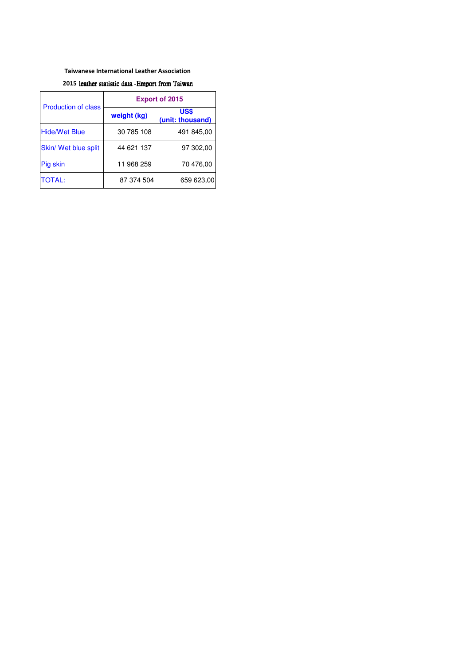#### Taiwanese International Leather Association

## 2015 leather statistic data -Emport from Taiwan

|                            | <b>Export of 2015</b> |                          |  |  |  |  |  |  |
|----------------------------|-----------------------|--------------------------|--|--|--|--|--|--|
| <b>Production of class</b> | weight (kg)           | US\$<br>(unit: thousand) |  |  |  |  |  |  |
| <b>Hide/Wet Blue</b>       | 30 785 108            | 491 845,00               |  |  |  |  |  |  |
| Skin/ Wet blue split       | 44 621 137            | 97 302,00                |  |  |  |  |  |  |
| Pig skin                   | 11 968 259            | 70 476,00                |  |  |  |  |  |  |
| <b>TOTAL:</b>              | 87 374 504            | 659 623,00               |  |  |  |  |  |  |